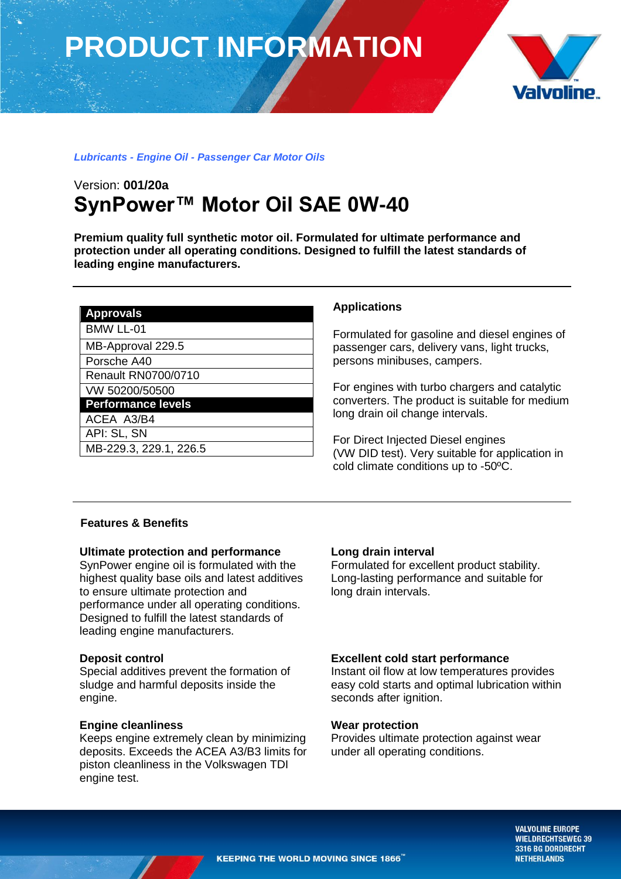# **PRODUCT INFORMATION**



## *Lubricants - Engine Oil - Passenger Car Motor Oils*

# Version: **001/20a SynPower™ Motor Oil SAE 0W-40**

**Premium quality full synthetic motor oil. Formulated for ultimate performance and protection under all operating conditions. Designed to fulfill the latest standards of leading engine manufacturers.** 

|  | Δ<br>г<br>۱۱ | m<br>V<br>H<br>v<br>ı)<br>. |  |
|--|--------------|-----------------------------|--|
|--|--------------|-----------------------------|--|

BMW LL-01

MB-Approval 229.5

Porsche A40

Renault RN0700/0710

VW 50200/50500

**Performance levels**

ACEA A3/B4

API: SL, SN MB-229.3, 229.1, 226.5

### **Applications**

Formulated for gasoline and diesel engines of passenger cars, delivery vans, light trucks, persons minibuses, campers.

For engines with turbo chargers and catalytic converters. The product is suitable for medium long drain oil change intervals.

For Direct Injected Diesel engines (VW DID test). Very suitable for application in cold climate conditions up to -50ºC.

### **Features & Benefits**

#### **Ultimate protection and performance**

SynPower engine oil is formulated with the highest quality base oils and latest additives to ensure ultimate protection and performance under all operating conditions. Designed to fulfill the latest standards of leading engine manufacturers.

#### **Deposit control**

Special additives prevent the formation of sludge and harmful deposits inside the engine.

#### **Engine cleanliness**

Keeps engine extremely clean by minimizing deposits. Exceeds the ACEA A3/B3 limits for piston cleanliness in the Volkswagen TDI engine test.

# **Long drain interval**

Formulated for excellent product stability. Long-lasting performance and suitable for long drain intervals.

# **Excellent cold start performance**

Instant oil flow at low temperatures provides easy cold starts and optimal lubrication within seconds after ignition.

#### **Wear protection**

Provides ultimate protection against wear under all operating conditions.

> **VALVOLINE EUROPE WIELDRECHTSEWEG 39** 3316 BG DORDRECHT **NETHERLANDS**